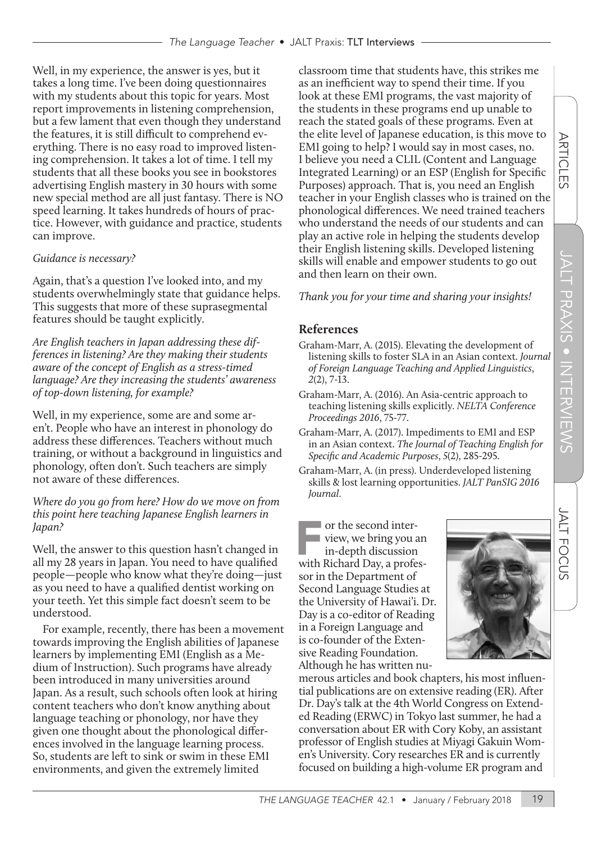Well, in my experience, the answer is yes, but it takes a long time. I've been doing questionnaires with my students about this topic for years. Most report improvements in listening comprehension, but a few lament that even though they understand the features, it is still difficult to comprehend everything. There is no easy road to improved listening comprehension. It takes a lot of time. I tell my students that all these books you see in bookstores advertising English mastery in 30 hours with some new special method are all just fantasy. There is NO speed learning. It takes hundreds of hours of practice. However, with guidance and practice, students can improve.

### *Guidance is necessary?*

Again, that's a question I've looked into, and my students overwhelmingly state that guidance helps. This suggests that more of these suprasegmental features should be taught explicitly.

*Are English teachers in Japan addressing these differences in listening? Are they making their students aware of the concept of English as a stress-timed language? Are they increasing the students' awareness of top-down listening, for example?*

Well, in my experience, some are and some aren't. People who have an interest in phonology do address these differences. Teachers without much training, or without a background in linguistics and phonology, often don't. Such teachers are simply not aware of these differences.

*Where do you go from here? How do we move on from this point here teaching Japanese English learners in Japan?*

Well, the answer to this question hasn't changed in all my 28 years in Japan. You need to have qualified people—people who know what they're doing—just as you need to have a qualified dentist working on your teeth. Yet this simple fact doesn't seem to be understood.

For example, recently, there has been a movement towards improving the English abilities of Japanese learners by implementing EMI (English as a Medium of Instruction). Such programs have already been introduced in many universities around Japan. As a result, such schools often look at hiring content teachers who don't know anything about language teaching or phonology, nor have they given one thought about the phonological differences involved in the language learning process. So, students are left to sink or swim in these EMI environments, and given the extremely limited

classroom time that students have, this strikes me as an inefficient way to spend their time. If you look at these EMI programs, the vast majority of the students in these programs end up unable to reach the stated goals of these programs. Even at the elite level of Japanese education, is this move to EMI going to help? I would say in most cases, no. I believe you need a CLIL (Content and Language Integrated Learning) or an ESP (English for Specific Purposes) approach. That is, you need an English teacher in your English classes who is trained on the phonological differences. We need trained teachers who understand the needs of our students and can play an active role in helping the students develop their English listening skills. Developed listening skills will enable and empower students to go out and then learn on their own.

# *Thank you for your time and sharing your insights!*

# **References**

- Graham-Marr, A. (2015). Elevating the development of listening skills to foster SLA in an Asian context. *Journal of Foreign Language Teaching and Applied Linguistics*, *2*(2), 7-13.
- Graham-Marr, A. (2016). An Asia-centric approach to teaching listening skills explicitly. *NELTA Conference Proceedings 2016*, 75-77.
- Graham-Marr, A. (2017). Impediments to EMI and ESP in an Asian context. *The Journal of Teaching English for Specific and Academic Purposes*, *5*(2), 285-295.
- Graham-Marr, A. (in press). Underdeveloped listening skills & lost learning opportunities. *JALT PanSIG 2016 Journal*.

or the second inter-<br>
view, we bring you an<br>
in-depth discussion<br>
with Richard Day, a profesview, we bring you an in-depth discussion sor in the Department of Second Language Studies at the University of Hawai'i. Dr. Day is a co-editor of Reading in a Foreign Language and is co-founder of the Extensive Reading Foundation. Although he has written nu-

merous articles and book chapters, his most influential publications are on extensive reading (ER). After Dr. Day's talk at the 4th World Congress on Extended Reading (ERWC) in Tokyo last summer, he had a conversation about ER with Cory Koby, an assistant professor of English studies at Miyagi Gakuin Women's University. Cory researches ER and is currently focused on building a high-volume ER program and

JALT

**FOCUS** 

**ARTICLES**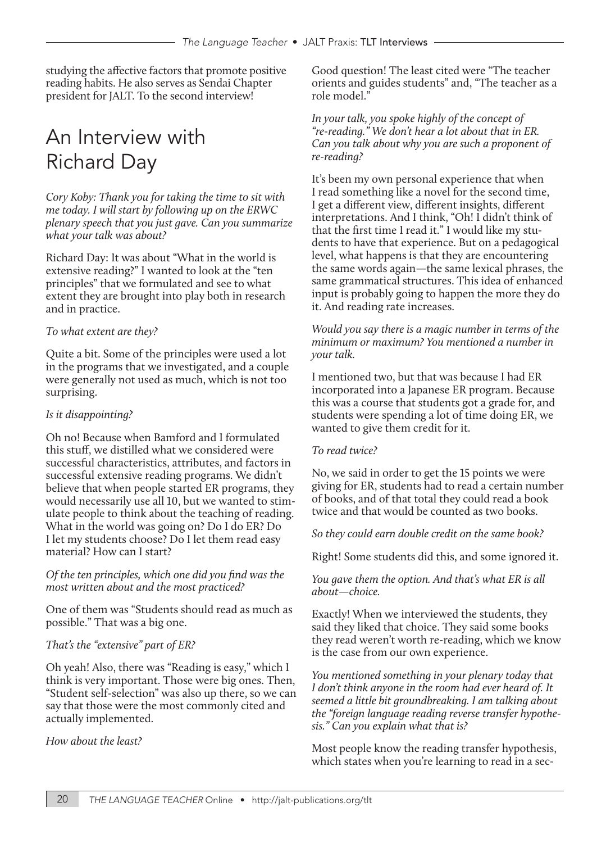studying the affective factors that promote positive reading habits. He also serves as Sendai Chapter president for JALT. To the second interview!

# An Interview with Richard Day

*Cory Koby: Thank you for taking the time to sit with me today. I will start by following up on the ERWC plenary speech that you just gave. Can you summarize what your talk was about?*

Richard Day: It was about "What in the world is extensive reading?" I wanted to look at the "ten principles" that we formulated and see to what extent they are brought into play both in research and in practice.

#### *To what extent are they?*

Quite a bit. Some of the principles were used a lot in the programs that we investigated, and a couple were generally not used as much, which is not too surprising.

#### *Is it disappointing?*

Oh no! Because when Bamford and I formulated this stuff, we distilled what we considered were successful characteristics, attributes, and factors in successful extensive reading programs. We didn't believe that when people started ER programs, they would necessarily use all 10, but we wanted to stimulate people to think about the teaching of reading. What in the world was going on? Do I do ER? Do I let my students choose? Do I let them read easy material? How can I start?

*Of the ten principles, which one did you find was the most written about and the most practiced?*

One of them was "Students should read as much as possible." That was a big one.

#### *That's the "extensive" part of ER?*

Oh yeah! Also, there was "Reading is easy," which I think is very important. Those were big ones. Then, "Student self-selection" was also up there, so we can say that those were the most commonly cited and actually implemented.

#### *How about the least?*

Good question! The least cited were "The teacher orients and guides students" and, "The teacher as a role model."

*In your talk, you spoke highly of the concept of "re-reading." We don't hear a lot about that in ER. Can you talk about why you are such a proponent of re-reading?*

It's been my own personal experience that when I read something like a novel for the second time, I get a different view, different insights, different interpretations. And I think, "Oh! I didn't think of that the first time I read it." I would like my students to have that experience. But on a pedagogical level, what happens is that they are encountering the same words again—the same lexical phrases, the same grammatical structures. This idea of enhanced input is probably going to happen the more they do it. And reading rate increases.

*Would you say there is a magic number in terms of the minimum or maximum? You mentioned a number in your talk.*

I mentioned two, but that was because I had ER incorporated into a Japanese ER program. Because this was a course that students got a grade for, and students were spending a lot of time doing ER, we wanted to give them credit for it.

#### *To read twice?*

No, we said in order to get the 15 points we were giving for ER, students had to read a certain number of books, and of that total they could read a book twice and that would be counted as two books.

*So they could earn double credit on the same book?*

Right! Some students did this, and some ignored it.

*You gave them the option. And that's what ER is all about—choice.*

Exactly! When we interviewed the students, they said they liked that choice. They said some books they read weren't worth re-reading, which we know is the case from our own experience.

*You mentioned something in your plenary today that I don't think anyone in the room had ever heard of. It seemed a little bit groundbreaking. I am talking about the "foreign language reading reverse transfer hypothesis." Can you explain what that is?*

Most people know the reading transfer hypothesis, which states when you're learning to read in a sec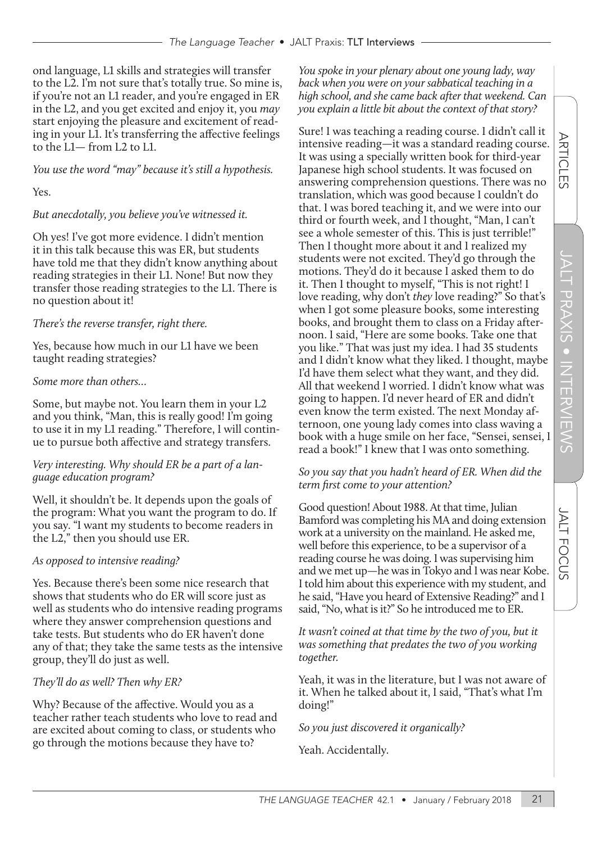ond language, L1 skills and strategies will transfer to the L2. I'm not sure that's totally true. So mine is, if you're not an L1 reader, and you're engaged in ER in the L2, and you get excited and enjoy it, you *may* start enjoying the pleasure and excitement of reading in your L1. It's transferring the affective feelings to the L1— from L2 to L1.

*You use the word "may" because it's still a hypothesis.*

Yes.

#### *But anecdotally, you believe you've witnessed it.*

Oh yes! I've got more evidence. I didn't mention it in this talk because this was ER, but students have told me that they didn't know anything about reading strategies in their L1. None! But now they transfer those reading strategies to the L1. There is no question about it!

#### *There's the reverse transfer, right there.*

Yes, because how much in our L1 have we been taught reading strategies?

#### *Some more than others…*

Some, but maybe not. You learn them in your L2 and you think, "Man, this is really good! I'm going to use it in my L1 reading." Therefore, I will continue to pursue both affective and strategy transfers.

#### *Very interesting. Why should ER be a part of a language education program?*

Well, it shouldn't be. It depends upon the goals of the program: What you want the program to do. If you say. "I want my students to become readers in the L2," then you should use ER.

#### *As opposed to intensive reading?*

Yes. Because there's been some nice research that shows that students who do ER will score just as well as students who do intensive reading programs where they answer comprehension questions and take tests. But students who do ER haven't done any of that; they take the same tests as the intensive group, they'll do just as well.

#### *They'll do as well? Then why ER?*

Why? Because of the affective. Would you as a teacher rather teach students who love to read and are excited about coming to class, or students who go through the motions because they have to?

*You spoke in your plenary about one young lady, way back when you were on your sabbatical teaching in a high school, and she came back after that weekend. Can you explain a little bit about the context of that story?*

Sure! I was teaching a reading course. I didn't call it intensive reading—it was a standard reading course. It was using a specially written book for third-year Japanese high school students. It was focused on answering comprehension questions. There was no translation, which was good because I couldn't do that. I was bored teaching it, and we were into our third or fourth week, and I thought, "Man, I can't see a whole semester of this. This is just terrible!" Then I thought more about it and I realized my students were not excited. They'd go through the motions. They'd do it because I asked them to do it. Then I thought to myself, "This is not right! I love reading, why don't *they* love reading?" So that's when I got some pleasure books, some interesting books, and brought them to class on a Friday afternoon. I said, "Here are some books. Take one that you like." That was just my idea. I had 35 students and I didn't know what they liked. I thought, maybe I'd have them select what they want, and they did. All that weekend I worried. I didn't know what was going to happen. I'd never heard of ER and didn't even know the term existed. The next Monday afternoon, one young lady comes into class waving a book with a huge smile on her face, "Sensei, sensei, I read a book!" I knew that I was onto something.

#### *So you say that you hadn't heard of ER. When did the term first come to your attention?*

Good question! About 1988. At that time, Julian Bamford was completing his MA and doing extension work at a university on the mainland. He asked me, well before this experience, to be a supervisor of a reading course he was doing. I was supervising him and we met up—he was in Tokyo and I was near Kobe. I told him about this experience with my student, and he said, "Have you heard of Extensive Reading?" and I said, "No, what is it?" So he introduced me to ER.

*It wasn't coined at that time by the two of you, but it was something that predates the two of you working together.*

Yeah, it was in the literature, but I was not aware of it. When he talked about it, I said, "That's what I'm doing!"

*So you just discovered it organically?*

Yeah. Accidentally.

**ARTICLES**